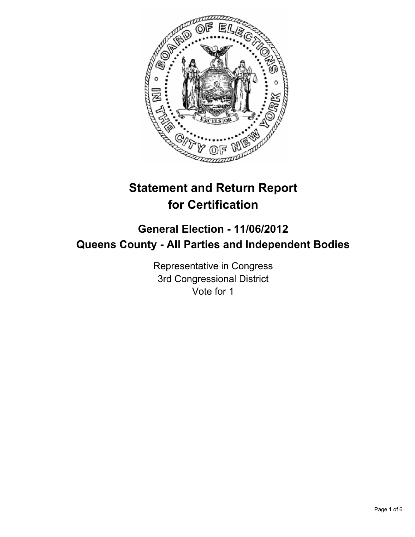

# **Statement and Return Report for Certification**

## **General Election - 11/06/2012 Queens County - All Parties and Independent Bodies**

Representative in Congress 3rd Congressional District Vote for 1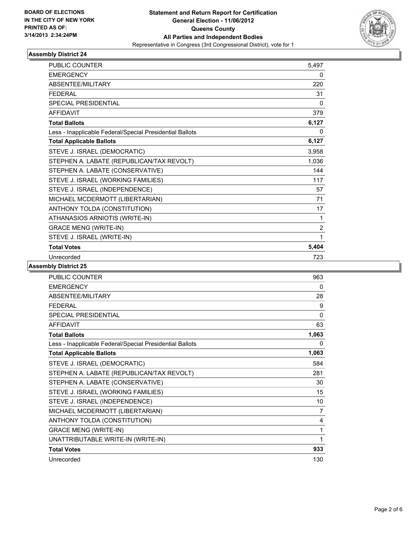

| <b>PUBLIC COUNTER</b>                                    | 5,497 |
|----------------------------------------------------------|-------|
| <b>EMERGENCY</b>                                         | 0     |
| ABSENTEE/MILITARY                                        | 220   |
| <b>FEDERAL</b>                                           | 31    |
| SPECIAL PRESIDENTIAL                                     | 0     |
| <b>AFFIDAVIT</b>                                         | 379   |
| <b>Total Ballots</b>                                     | 6,127 |
| Less - Inapplicable Federal/Special Presidential Ballots | 0     |
| <b>Total Applicable Ballots</b>                          | 6,127 |
| STEVE J. ISRAEL (DEMOCRATIC)                             | 3,958 |
| STEPHEN A. LABATE (REPUBLICAN/TAX REVOLT)                | 1,036 |
| STEPHEN A. LABATE (CONSERVATIVE)                         | 144   |
| STEVE J. ISRAEL (WORKING FAMILIES)                       | 117   |
| STEVE J. ISRAEL (INDEPENDENCE)                           | 57    |
| MICHAEL MCDERMOTT (LIBERTARIAN)                          | 71    |
| ANTHONY TOLDA (CONSTITUTION)                             | 17    |
| ATHANASIOS ARNIOTIS (WRITE-IN)                           | 1     |
| <b>GRACE MENG (WRITE-IN)</b>                             | 2     |
| STEVE J. ISRAEL (WRITE-IN)                               | 1     |
| <b>Total Votes</b>                                       | 5,404 |
| Unrecorded                                               | 723   |

| <b>PUBLIC COUNTER</b>                                    | 963      |
|----------------------------------------------------------|----------|
| <b>EMERGENCY</b>                                         | 0        |
| <b>ABSENTEE/MILITARY</b>                                 | 28       |
| <b>FEDERAL</b>                                           | 9        |
| <b>SPECIAL PRESIDENTIAL</b>                              | $\Omega$ |
| <b>AFFIDAVIT</b>                                         | 63       |
| <b>Total Ballots</b>                                     | 1,063    |
| Less - Inapplicable Federal/Special Presidential Ballots | 0        |
| <b>Total Applicable Ballots</b>                          | 1,063    |
| STEVE J. ISRAEL (DEMOCRATIC)                             | 584      |
| STEPHEN A. LABATE (REPUBLICAN/TAX REVOLT)                | 281      |
| STEPHEN A. LABATE (CONSERVATIVE)                         | 30       |
| STEVE J. ISRAEL (WORKING FAMILIES)                       | 15       |
| STEVE J. ISRAEL (INDEPENDENCE)                           | 10       |
| MICHAEL MCDERMOTT (LIBERTARIAN)                          | 7        |
| ANTHONY TOLDA (CONSTITUTION)                             | 4        |
| <b>GRACE MENG (WRITE-IN)</b>                             | 1        |
| UNATTRIBUTABLE WRITE-IN (WRITE-IN)                       | 1        |
| <b>Total Votes</b>                                       | 933      |
| Unrecorded                                               | 130      |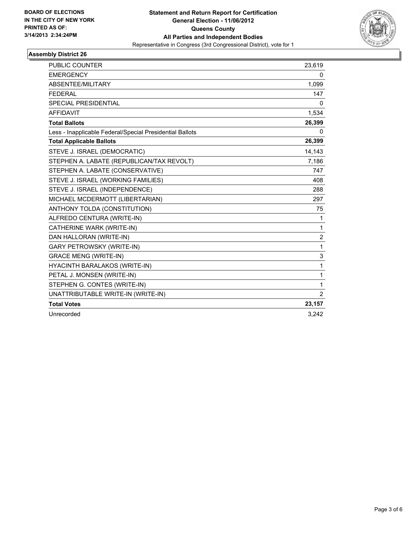

| PUBLIC COUNTER                                           | 23,619         |
|----------------------------------------------------------|----------------|
| <b>EMERGENCY</b>                                         | 0              |
| ABSENTEE/MILITARY                                        | 1.099          |
| <b>FEDERAL</b>                                           | 147            |
| SPECIAL PRESIDENTIAL                                     | 0              |
| <b>AFFIDAVIT</b>                                         | 1,534          |
| <b>Total Ballots</b>                                     | 26,399         |
| Less - Inapplicable Federal/Special Presidential Ballots | $\mathbf{0}$   |
| <b>Total Applicable Ballots</b>                          | 26,399         |
| STEVE J. ISRAEL (DEMOCRATIC)                             | 14,143         |
| STEPHEN A. LABATE (REPUBLICAN/TAX REVOLT)                | 7,186          |
| STEPHEN A. LABATE (CONSERVATIVE)                         | 747            |
| STEVE J. ISRAEL (WORKING FAMILIES)                       | 408            |
| STEVE J. ISRAEL (INDEPENDENCE)                           | 288            |
| MICHAEL MCDERMOTT (LIBERTARIAN)                          | 297            |
| ANTHONY TOLDA (CONSTITUTION)                             | 75             |
| ALFREDO CENTURA (WRITE-IN)                               | 1              |
| CATHERINE WARK (WRITE-IN)                                | $\mathbf{1}$   |
| DAN HALLORAN (WRITE-IN)                                  | $\overline{2}$ |
| <b>GARY PETROWSKY (WRITE-IN)</b>                         | $\mathbf{1}$   |
| <b>GRACE MENG (WRITE-IN)</b>                             | 3              |
| HYACINTH BARALAKOS (WRITE-IN)                            | $\mathbf 1$    |
| PETAL J. MONSEN (WRITE-IN)                               | 1              |
| STEPHEN G. CONTES (WRITE-IN)                             | 1              |
| UNATTRIBUTABLE WRITE-IN (WRITE-IN)                       | 2              |
| <b>Total Votes</b>                                       | 23,157         |
| Unrecorded                                               | 3,242          |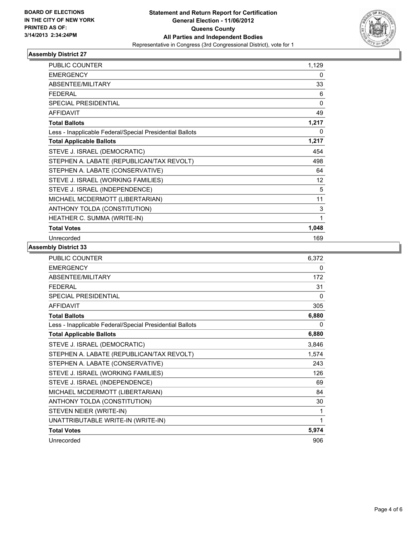

| PUBLIC COUNTER                                           | 1,129 |
|----------------------------------------------------------|-------|
| <b>EMERGENCY</b>                                         | 0     |
| <b>ABSENTEE/MILITARY</b>                                 | 33    |
| <b>FEDERAL</b>                                           | 6     |
| <b>SPECIAL PRESIDENTIAL</b>                              | 0     |
| <b>AFFIDAVIT</b>                                         | 49    |
| <b>Total Ballots</b>                                     | 1,217 |
| Less - Inapplicable Federal/Special Presidential Ballots | 0     |
| <b>Total Applicable Ballots</b>                          | 1,217 |
| STEVE J. ISRAEL (DEMOCRATIC)                             | 454   |
| STEPHEN A. LABATE (REPUBLICAN/TAX REVOLT)                | 498   |
| STEPHEN A. LABATE (CONSERVATIVE)                         | 64    |
| STEVE J. ISRAEL (WORKING FAMILIES)                       | 12    |
| STEVE J. ISRAEL (INDEPENDENCE)                           | 5     |
| MICHAEL MCDERMOTT (LIBERTARIAN)                          | 11    |
| ANTHONY TOLDA (CONSTITUTION)                             | 3     |
| HEATHER C. SUMMA (WRITE-IN)                              | 1     |
| <b>Total Votes</b>                                       | 1,048 |
| Unrecorded                                               | 169   |

| PUBLIC COUNTER                                           | 6,372 |
|----------------------------------------------------------|-------|
| <b>EMERGENCY</b>                                         | 0     |
| ABSENTEE/MILITARY                                        | 172   |
| <b>FEDERAL</b>                                           | 31    |
| SPECIAL PRESIDENTIAL                                     | 0     |
| <b>AFFIDAVIT</b>                                         | 305   |
| <b>Total Ballots</b>                                     | 6,880 |
| Less - Inapplicable Federal/Special Presidential Ballots | 0     |
| <b>Total Applicable Ballots</b>                          | 6,880 |
| STEVE J. ISRAEL (DEMOCRATIC)                             | 3,846 |
| STEPHEN A. LABATE (REPUBLICAN/TAX REVOLT)                | 1,574 |
| STEPHEN A. LABATE (CONSERVATIVE)                         | 243   |
| STEVE J. ISRAEL (WORKING FAMILIES)                       | 126   |
| STEVE J. ISRAEL (INDEPENDENCE)                           | 69    |
| MICHAEL MCDERMOTT (LIBERTARIAN)                          | 84    |
| ANTHONY TOLDA (CONSTITUTION)                             | 30    |
| STEVEN NEIER (WRITE-IN)                                  | 1     |
| UNATTRIBUTABLE WRITE-IN (WRITE-IN)                       | 1     |
| <b>Total Votes</b>                                       | 5,974 |
| Unrecorded                                               | 906   |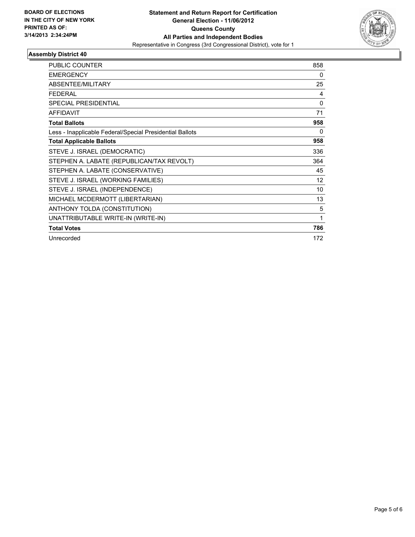

| PUBLIC COUNTER                                           | 858          |
|----------------------------------------------------------|--------------|
| <b>EMERGENCY</b>                                         | $\mathbf{0}$ |
| <b>ABSENTEE/MILITARY</b>                                 | 25           |
| <b>FEDERAL</b>                                           | 4            |
| <b>SPECIAL PRESIDENTIAL</b>                              | 0            |
| <b>AFFIDAVIT</b>                                         | 71           |
| <b>Total Ballots</b>                                     | 958          |
| Less - Inapplicable Federal/Special Presidential Ballots | 0            |
| <b>Total Applicable Ballots</b>                          | 958          |
| STEVE J. ISRAEL (DEMOCRATIC)                             | 336          |
| STEPHEN A. LABATE (REPUBLICAN/TAX REVOLT)                | 364          |
| STEPHEN A. LABATE (CONSERVATIVE)                         | 45           |
| STEVE J. ISRAEL (WORKING FAMILIES)                       | 12           |
| STEVE J. ISRAEL (INDEPENDENCE)                           | 10           |
| MICHAEL MCDERMOTT (LIBERTARIAN)                          | 13           |
| ANTHONY TOLDA (CONSTITUTION)                             | 5            |
| UNATTRIBUTABLE WRITE-IN (WRITE-IN)                       | 1            |
| <b>Total Votes</b>                                       | 786          |
| Unrecorded                                               | 172          |